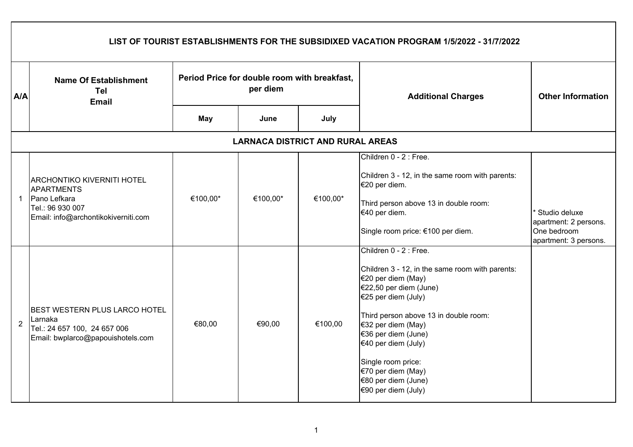|                | LIST OF TOURIST ESTABLISHMENTS FOR THE SUBSIDIXED VACATION PROGRAM 1/5/2022 - 31/7/2022                                           |                                                          |          |                                         |                                                                                                                                                                                                                                                                                                                                                         |                                                                                             |  |  |  |
|----------------|-----------------------------------------------------------------------------------------------------------------------------------|----------------------------------------------------------|----------|-----------------------------------------|---------------------------------------------------------------------------------------------------------------------------------------------------------------------------------------------------------------------------------------------------------------------------------------------------------------------------------------------------------|---------------------------------------------------------------------------------------------|--|--|--|
| <b>A/A</b>     | <b>Name Of Establishment</b><br><b>Tel</b><br><b>Email</b>                                                                        | Period Price for double room with breakfast,<br>per diem |          |                                         | <b>Additional Charges</b>                                                                                                                                                                                                                                                                                                                               | <b>Other Information</b>                                                                    |  |  |  |
|                |                                                                                                                                   | May                                                      | June     | July                                    |                                                                                                                                                                                                                                                                                                                                                         |                                                                                             |  |  |  |
|                |                                                                                                                                   |                                                          |          | <b>LARNACA DISTRICT AND RURAL AREAS</b> |                                                                                                                                                                                                                                                                                                                                                         |                                                                                             |  |  |  |
| $\mathbf 1$    | <b>ARCHONTIKO KIVERNITI HOTEL</b><br><b>APARTMENTS</b><br>Pano Lefkara<br>Tel.: 96 930 007<br>Email: info@archontikokiverniti.com | €100,00*                                                 | €100,00* | €100,00*                                | Children 0 - 2 : Free.<br>Children 3 - 12, in the same room with parents:<br>€20 per diem.<br>Third person above 13 in double room:<br>€40 per diem.<br>Single room price: €100 per diem.                                                                                                                                                               | <sup>*</sup> Studio deluxe<br>apartment: 2 persons.<br>One bedroom<br>apartment: 3 persons. |  |  |  |
| $\overline{2}$ | <b>BEST WESTERN PLUS LARCO HOTEL</b><br>Larnaka<br>Tel.: 24 657 100, 24 657 006<br>Email: bwplarco@papouishotels.com              | €80,00                                                   | €90,00   | €100,00                                 | Children 0 - 2 : Free.<br>Children 3 - 12, in the same room with parents:<br>€20 per diem (May)<br>€22,50 per diem (June)<br>€25 per diem (July)<br>Third person above 13 in double room:<br>€32 per diem (May)<br>€36 per diem (June)<br>€40 per diem (July)<br>Single room price:<br>€70 per diem (May)<br>€80 per diem (June)<br>€90 per diem (July) |                                                                                             |  |  |  |

 $\mathsf{r}$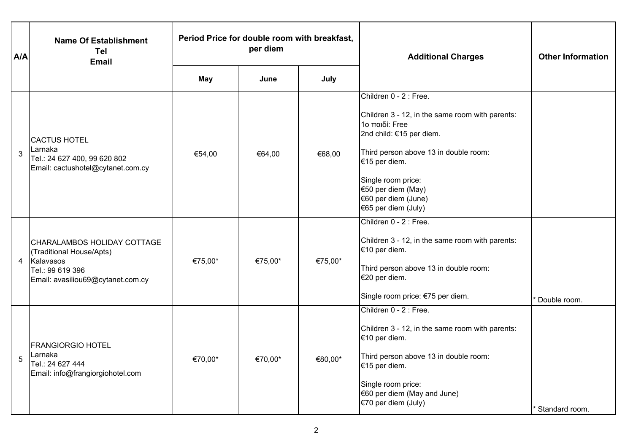| A/A | <b>Name Of Establishment</b><br>Tel<br><b>Email</b>                                                                           | Period Price for double room with breakfast,<br>per diem |                     |         | <b>Additional Charges</b>                                                                                                                                                                                                                                                   | <b>Other Information</b> |
|-----|-------------------------------------------------------------------------------------------------------------------------------|----------------------------------------------------------|---------------------|---------|-----------------------------------------------------------------------------------------------------------------------------------------------------------------------------------------------------------------------------------------------------------------------------|--------------------------|
|     |                                                                                                                               | May                                                      | June                | July    |                                                                                                                                                                                                                                                                             |                          |
| 3   | <b>CACTUS HOTEL</b><br>Larnaka<br>Tel.: 24 627 400, 99 620 802<br>Email: cactushotel@cytanet.com.cy                           | €54,00                                                   | €64,00              | €68,00  | Children 0 - 2 : Free.<br>Children 3 - 12, in the same room with parents:<br>1ο παιδί: Free<br>2nd child: €15 per diem.<br>Third person above 13 in double room:<br>€15 per diem.<br>Single room price:<br>€50 per diem (May)<br>€60 per diem (June)<br>€65 per diem (July) |                          |
| 4   | CHARALAMBOS HOLIDAY COTTAGE<br>(Traditional House/Apts)<br>Kalavasos<br>Tel.: 99 619 396<br>Email: avasiliou69@cytanet.com.cy | €75,00*                                                  | €75,00*             | €75,00* | Children 0 - 2 : Free.<br>Children 3 - 12, in the same room with parents:<br>€10 per diem.<br>Third person above 13 in double room:<br>€20 per diem.<br>Single room price: €75 per diem.                                                                                    | Double room.             |
| 5   | <b>FRANGIORGIO HOTEL</b><br>Larnaka<br>Tel.: 24 627 444<br>Email: info@frangiorgiohotel.com                                   | €70,00*                                                  | €70,00 <sup>*</sup> | €80,00* | Children 0 - 2 : Free.<br>Children 3 - 12, in the same room with parents:<br>€10 per diem.<br>Third person above 13 in double room:<br>€15 per diem.<br>Single room price:<br>€60 per diem (May and June)<br>€70 per diem (July)                                            | Standard room.           |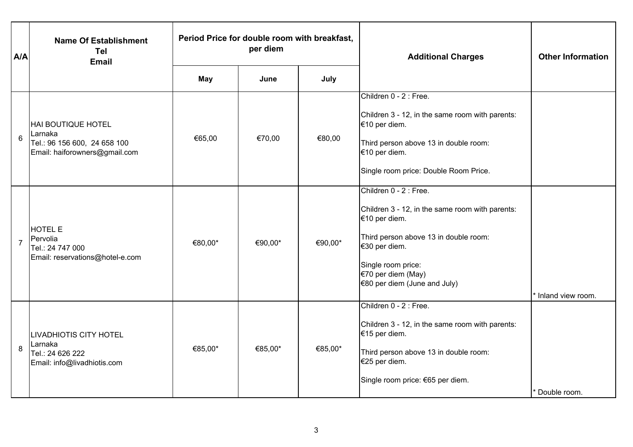| A/A            | <b>Name Of Establishment</b><br>Tel<br><b>Email</b>                                                   | Period Price for double room with breakfast,<br>per diem |         |         | <b>Additional Charges</b>                                                                                                                                                                                                          | <b>Other Information</b> |
|----------------|-------------------------------------------------------------------------------------------------------|----------------------------------------------------------|---------|---------|------------------------------------------------------------------------------------------------------------------------------------------------------------------------------------------------------------------------------------|--------------------------|
|                |                                                                                                       | May                                                      | June    | July    |                                                                                                                                                                                                                                    |                          |
| 6              | <b>HAI BOUTIQUE HOTEL</b><br>Larnaka<br>Tel.: 96 156 600, 24 658 100<br>Email: haiforowners@gmail.com | €65,00                                                   | €70,00  | €80,00  | Children 0 - 2 : Free.<br>Children 3 - 12, in the same room with parents:<br>€10 per diem.<br>Third person above 13 in double room:<br>€10 per diem.<br>Single room price: Double Room Price.                                      |                          |
| $\overline{7}$ | <b>HOTEL E</b><br>Pervolia<br>Tel.: 24 747 000<br>Email: reservations@hotel-e.com                     | €80,00*                                                  | €90,00* | €90,00* | Children 0 - 2 : Free.<br>Children 3 - 12, in the same room with parents:<br>€10 per diem.<br>Third person above 13 in double room:<br>€30 per diem.<br>Single room price:<br>€70 per diem (May)<br>$€80$ per diem (June and July) | * Inland view room.      |
| 8              | <b>LIVADHIOTIS CITY HOTEL</b><br>Larnaka<br>Tel.: 24 626 222<br>Email: info@livadhiotis.com           | €85,00*                                                  | €85,00* | €85,00* | Children 0 - 2 : Free.<br>Children 3 - 12, in the same room with parents:<br>€15 per diem.<br>Third person above 13 in double room:<br>€25 per diem.<br>Single room price: €65 per diem.                                           | Double room.             |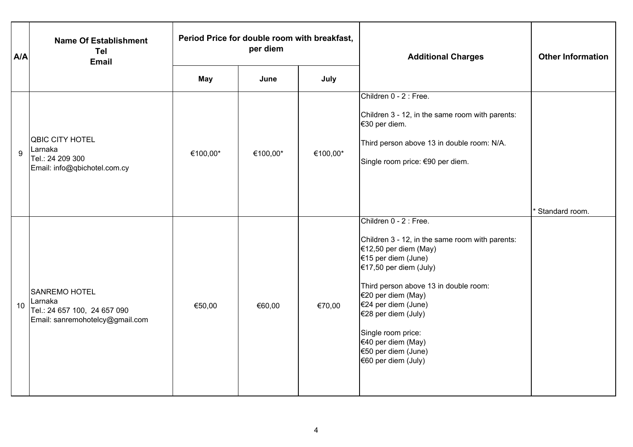| A/A | <b>Name Of Establishment</b><br>Tel<br><b>Email</b>                                                | Period Price for double room with breakfast,<br>per diem |          |          | <b>Additional Charges</b>                                                                                                                                                                                                                                                                                                                                  | <b>Other Information</b> |
|-----|----------------------------------------------------------------------------------------------------|----------------------------------------------------------|----------|----------|------------------------------------------------------------------------------------------------------------------------------------------------------------------------------------------------------------------------------------------------------------------------------------------------------------------------------------------------------------|--------------------------|
|     |                                                                                                    | May                                                      | June     | July     |                                                                                                                                                                                                                                                                                                                                                            |                          |
| 9   | QBIC CITY HOTEL<br>Larnaka<br>Tel.: 24 209 300<br>Email: info@qbichotel.com.cy                     | €100,00*                                                 | €100,00* | €100,00* | Children 0 - 2 : Free.<br>Children 3 - 12, in the same room with parents:<br>€30 per diem.<br>Third person above 13 in double room: N/A.<br>Single room price: €90 per diem.                                                                                                                                                                               |                          |
| 10  | <b>SANREMO HOTEL</b><br>Larnaka<br>Tel.: 24 657 100, 24 657 090<br>Email: sanremohotelcy@gmail.com | €50,00                                                   | €60,00   | €70,00   | Children 0 - 2 : Free.<br>Children 3 - 12, in the same room with parents:<br>€12,50 per diem (May)<br>€15 per diem (June)<br>€17,50 per diem (July)<br>Third person above 13 in double room:<br>€20 per diem (May)<br>€24 per diem (June)<br>€28 per diem (July)<br>Single room price:<br>€40 per diem (May)<br>€50 per diem (June)<br>€60 per diem (July) | Standard room.           |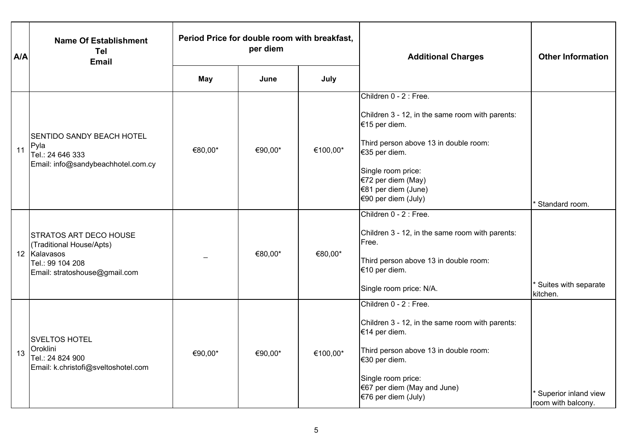| A/A | <b>Name Of Establishment</b><br>Tel<br><b>Email</b>                                                                            | Period Price for double room with breakfast,<br>per diem |         |          | <b>Additional Charges</b>                                                                                                                                                                                                                      | <b>Other Information</b>                   |
|-----|--------------------------------------------------------------------------------------------------------------------------------|----------------------------------------------------------|---------|----------|------------------------------------------------------------------------------------------------------------------------------------------------------------------------------------------------------------------------------------------------|--------------------------------------------|
|     |                                                                                                                                | May                                                      | June    | July     |                                                                                                                                                                                                                                                |                                            |
| 11  | <b>SENTIDO SANDY BEACH HOTEL</b><br>Pyla<br>Tel.: 24 646 333<br>Email: info@sandybeachhotel.com.cy                             | €80,00*                                                  | €90,00* | €100,00* | Children 0 - 2 : Free.<br>Children 3 - 12, in the same room with parents:<br>€15 per diem.<br>Third person above 13 in double room:<br>€35 per diem.<br>Single room price:<br>€72 per diem (May)<br>€81 per diem (June)<br>€90 per diem (July) | Standard room.                             |
|     | <b>STRATOS ART DECO HOUSE</b><br>(Traditional House/Apts)<br>12 Kalavasos<br>Tel.: 99 104 208<br>Email: stratoshouse@gmail.com |                                                          | €80,00* | €80,00*  | Children 0 - 2 : Free.<br>Children 3 - 12, in the same room with parents:<br>Free.<br>Third person above 13 in double room:<br>€10 per diem.<br>Single room price: N/A.                                                                        | Suites with separate<br>kitchen.           |
| 13  | <b>SVELTOS HOTEL</b><br>Oroklini<br>Tel.: 24 824 900<br>Email: k.christofi@sveltoshotel.com                                    | €90,00*                                                  | €90,00* | €100,00* | Children 0 - 2 : Free.<br>Children 3 - 12, in the same room with parents:<br>€14 per diem.<br>Third person above 13 in double room:<br>€30 per diem.<br>Single room price:<br>$€67$ per diem (May and June)<br>€76 per diem (July)             | Superior inland view<br>room with balcony. |